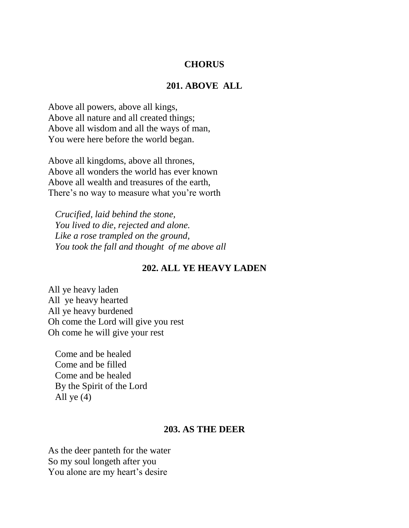## **CHORUS**

### **201. ABOVE ALL**

Above all powers, above all kings, Above all nature and all created things; Above all wisdom and all the ways of man, You were here before the world began.

Above all kingdoms, above all thrones, Above all wonders the world has ever known Above all wealth and treasures of the earth, There's no way to measure what you're worth

 *Crucified, laid behind the stone, You lived to die, rejected and alone. Like a rose trampled on the ground, You took the fall and thought of me above all*

### **202. ALL YE HEAVY LADEN**

All ye heavy laden All ye heavy hearted All ye heavy burdened Oh come the Lord will give you rest Oh come he will give your rest

 Come and be healed Come and be filled Come and be healed By the Spirit of the Lord All ye  $(4)$ 

### **203. AS THE DEER**

As the deer panteth for the water So my soul longeth after you You alone are my heart's desire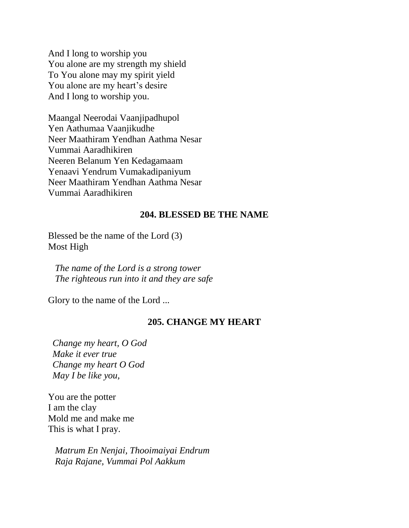And I long to worship you You alone are my strength my shield To You alone may my spirit yield You alone are my heart's desire And I long to worship you.

Maangal Neerodai Vaanjipadhupol Yen Aathumaa Vaanjikudhe Neer Maathiram Yendhan Aathma Nesar Vummai Aaradhikiren Neeren Belanum Yen Kedagamaam Yenaavi Yendrum Vumakadipaniyum Neer Maathiram Yendhan Aathma Nesar Vummai Aaradhikiren

## **204. BLESSED BE THE NAME**

Blessed be the name of the Lord (3) Most High

 *The name of the Lord is a strong tower The righteous run into it and they are safe*

Glory to the name of the Lord ...

# **205. CHANGE MY HEART**

*Change my heart, O God Make it ever true Change my heart O God May I be like you,*

You are the potter I am the clay Mold me and make me This is what I pray.

 *Matrum En Nenjai, Thooimaiyai Endrum Raja Rajane, Vummai Pol Aakkum*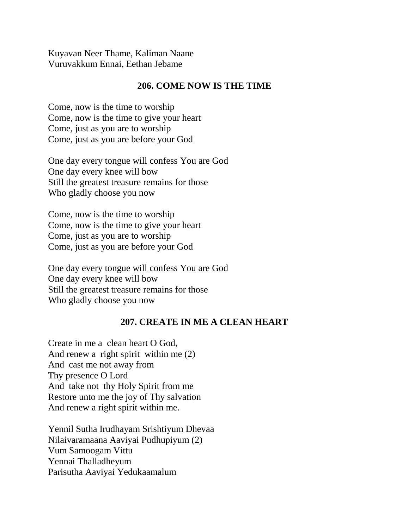Kuyavan Neer Thame, Kaliman Naane Vuruvakkum Ennai, Eethan Jebame

## **206. COME NOW IS THE TIME**

Come, now is the time to worship Come, now is the time to give your heart Come, just as you are to worship Come, just as you are before your God

One day every tongue will confess You are God One day every knee will bow Still the greatest treasure remains for those Who gladly choose you now

Come, now is the time to worship Come, now is the time to give your heart Come, just as you are to worship Come, just as you are before your God

One day every tongue will confess You are God One day every knee will bow Still the greatest treasure remains for those Who gladly choose you now

# **207. CREATE IN ME A CLEAN HEART**

Create in me a clean heart O God, And renew a right spirit within me (2) And cast me not away from Thy presence O Lord And take not thy Holy Spirit from me Restore unto me the joy of Thy salvation And renew a right spirit within me.

Yennil Sutha Irudhayam Srishtiyum Dhevaa Nilaivaramaana Aaviyai Pudhupiyum (2) Vum Samoogam Vittu Yennai Thalladheyum Parisutha Aaviyai Yedukaamalum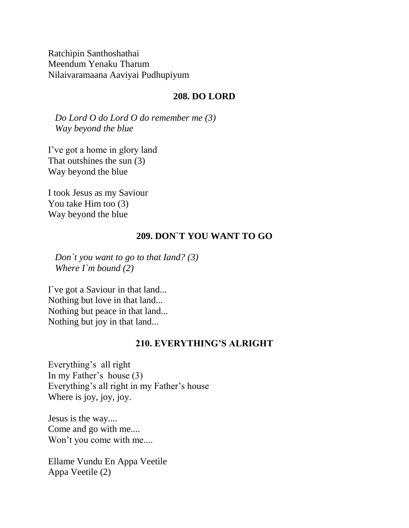Ratchipin Santhoshathai Meendum Yenaku Tharum Nilaivaramaana Aaviyai Pudhupiyum

### **208. DO LORD**

 *Do Lord O do Lord O do remember me (3) Way beyond the blue*

I've got a home in glory land That outshines the sun (3) Way beyond the blue

I took Jesus as my Saviour You take Him too (3) Way beyond the blue

# **209. DON`T YOU WANT TO GO**

 *Don`t you want to go to that Iand? (3) Where I`m bound (2)*

I`ve got a Saviour in that land... Nothing but love in that land... Nothing but peace in that land... Nothing but joy in that land...

### **210. EVERYTHING'S ALRIGHT**

Everything's all right In my Father's house (3) Everything's all right in my Father's house Where is joy, joy, joy.

Jesus is the way.... Come and go with me.... Won't you come with me....

Ellame Vundu En Appa Veetile Appa Veetile (2)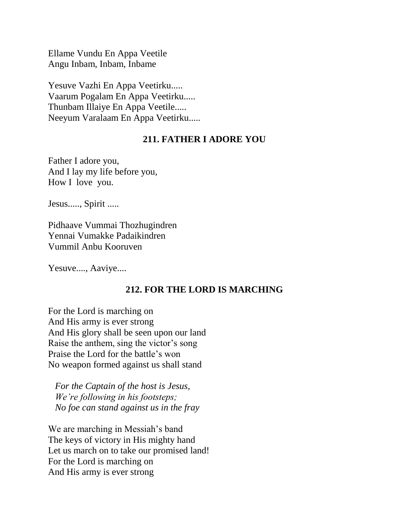Ellame Vundu En Appa Veetile Angu Inbam, Inbam, Inbame

Yesuve Vazhi En Appa Veetirku..... Vaarum Pogalam En Appa Veetirku..... Thunbam Illaiye En Appa Veetile..... Neeyum Varalaam En Appa Veetirku.....

### **211. FATHER I ADORE YOU**

Father I adore you, And I lay my life before you, How I love you.

Jesus....., Spirit .....

Pidhaave Vummai Thozhugindren Yennai Vumakke Padaikindren Vummil Anbu Kooruven

Yesuve...., Aaviye....

## **212. FOR THE LORD IS MARCHING**

For the Lord is marching on And His army is ever strong And His glory shall be seen upon our land Raise the anthem, sing the victor's song Praise the Lord for the battle's won No weapon formed against us shall stand

 *For the Captain of the host is Jesus, We're following in his footsteps; No foe can stand against us in the fray*

We are marching in Messiah's band The keys of victory in His mighty hand Let us march on to take our promised land! For the Lord is marching on And His army is ever strong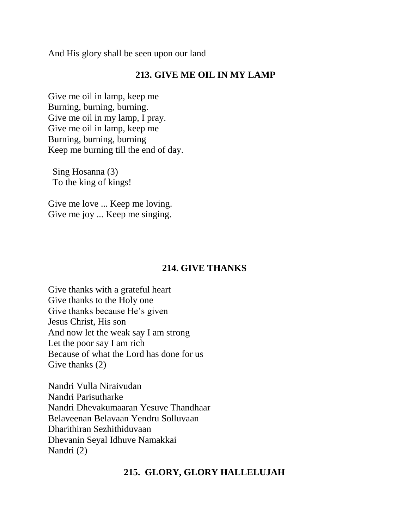And His glory shall be seen upon our land

# **213. GIVE ME OIL IN MY LAMP**

Give me oil in lamp, keep me Burning, burning, burning. Give me oil in my lamp, I pray. Give me oil in lamp, keep me Burning, burning, burning Keep me burning till the end of day.

Sing Hosanna (3) To the king of kings!

Give me love ... Keep me loving. Give me joy ... Keep me singing.

# **214. GIVE THANKS**

Give thanks with a grateful heart Give thanks to the Holy one Give thanks because He's given Jesus Christ, His son And now let the weak say I am strong Let the poor say I am rich Because of what the Lord has done for us Give thanks (2)

Nandri Vulla Niraivudan Nandri Parisutharke Nandri Dhevakumaaran Yesuve Thandhaar Belaveenan Belavaan Yendru Solluvaan Dharithiran Sezhithiduvaan Dhevanin Seyal Idhuve Namakkai Nandri (2)

# **215. GLORY, GLORY HALLELUJAH**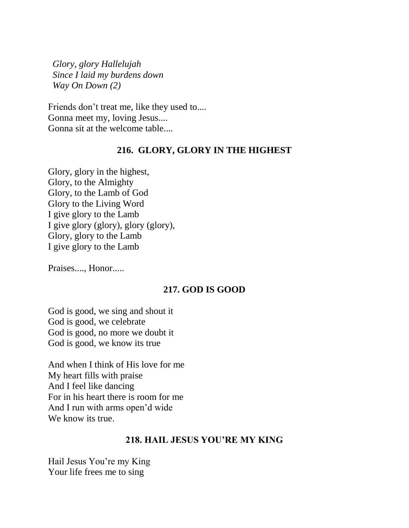*Glory, glory Hallelujah Since I laid my burdens down Way On Down (2)*

Friends don't treat me, like they used to.... Gonna meet my, loving Jesus.... Gonna sit at the welcome table....

# **216. GLORY, GLORY IN THE HIGHEST**

Glory, glory in the highest, Glory, to the Almighty Glory, to the Lamb of God Glory to the Living Word I give glory to the Lamb I give glory (glory), glory (glory), Glory, glory to the Lamb I give glory to the Lamb

Praises...., Honor.....

# **217. GOD IS GOOD**

God is good, we sing and shout it God is good, we celebrate God is good, no more we doubt it God is good, we know its true

And when I think of His love for me My heart fills with praise And I feel like dancing For in his heart there is room for me And I run with arms open'd wide We know its true.

## **218. HAIL JESUS YOU'RE MY KING**

Hail Jesus You're my King Your life frees me to sing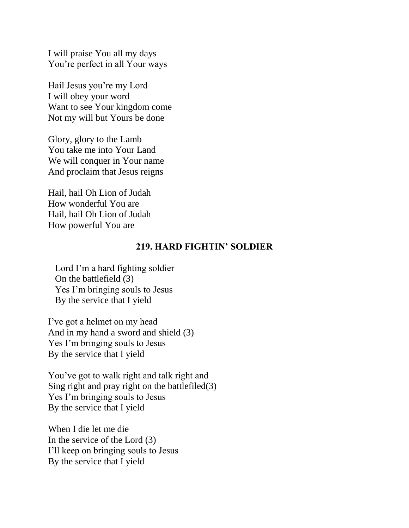I will praise You all my days You're perfect in all Your ways

Hail Jesus you're my Lord I will obey your word Want to see Your kingdom come Not my will but Yours be done

Glory, glory to the Lamb You take me into Your Land We will conquer in Your name And proclaim that Jesus reigns

Hail, hail Oh Lion of Judah How wonderful You are Hail, hail Oh Lion of Judah How powerful You are

## **219. HARD FIGHTIN' SOLDIER**

 Lord I'm a hard fighting soldier On the battlefield (3) Yes I'm bringing souls to Jesus By the service that I yield

I've got a helmet on my head And in my hand a sword and shield (3) Yes I'm bringing souls to Jesus By the service that I yield

You've got to walk right and talk right and Sing right and pray right on the battlefiled(3) Yes I'm bringing souls to Jesus By the service that I yield

When I die let me die In the service of the Lord (3) I'll keep on bringing souls to Jesus By the service that I yield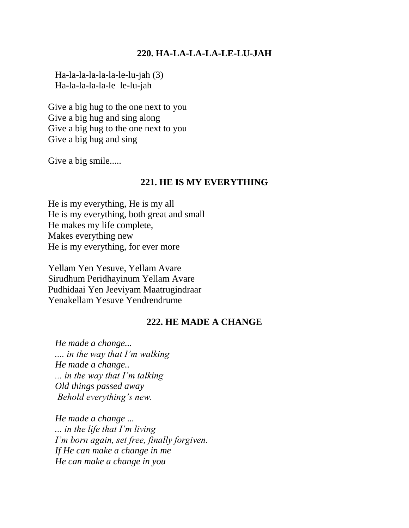# **220. HA-LA-LA-LA-LE-LU-JAH**

 Ha-la-la-la-la-la-le-lu-jah (3) Ha-la-la-la-la-le le-lu-jah

Give a big hug to the one next to you Give a big hug and sing along Give a big hug to the one next to you Give a big hug and sing

Give a big smile.....

## **221. HE IS MY EVERYTHING**

He is my everything, He is my all He is my everything, both great and small He makes my life complete, Makes everything new He is my everything, for ever more

Yellam Yen Yesuve, Yellam Avare Sirudhum Peridhayinum Yellam Avare Pudhidaai Yen Jeeviyam Maatrugindraar Yenakellam Yesuve Yendrendrume

# **222. HE MADE A CHANGE**

 *He made a change... .... in the way that I'm walking He made a change.. ... in the way that I'm talking Old things passed away Behold everything's new.*

 *He made a change ... ... in the life that I'm living I'm born again, set free, finally forgiven. If He can make a change in me He can make a change in you*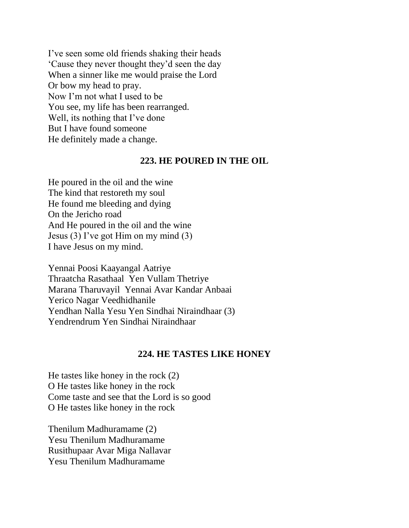I've seen some old friends shaking their heads 'Cause they never thought they'd seen the day When a sinner like me would praise the Lord Or bow my head to pray. Now I'm not what I used to be You see, my life has been rearranged. Well, its nothing that I've done But I have found someone He definitely made a change.

## **223. HE POURED IN THE OIL**

He poured in the oil and the wine The kind that restoreth my soul He found me bleeding and dying On the Jericho road And He poured in the oil and the wine Jesus (3) I've got Him on my mind (3) I have Jesus on my mind.

Yennai Poosi Kaayangal Aatriye Thraatcha Rasathaal Yen Vullam Thetriye Marana Tharuvayil Yennai Avar Kandar Anbaai Yerico Nagar Veedhidhanile Yendhan Nalla Yesu Yen Sindhai Niraindhaar (3) Yendrendrum Yen Sindhai Niraindhaar

## **224. HE TASTES LIKE HONEY**

He tastes like honey in the rock (2) O He tastes like honey in the rock Come taste and see that the Lord is so good O He tastes like honey in the rock

Thenilum Madhuramame (2) Yesu Thenilum Madhuramame Rusithupaar Avar Miga Nallavar Yesu Thenilum Madhuramame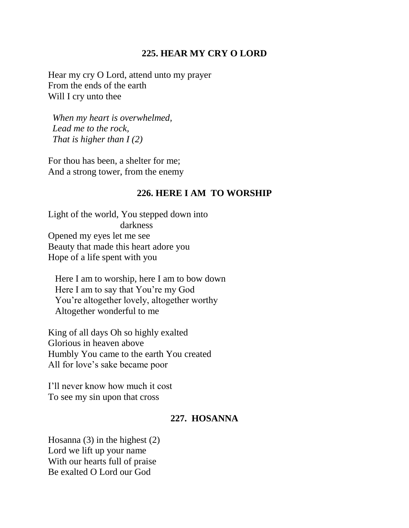## **225. HEAR MY CRY O LORD**

Hear my cry O Lord, attend unto my prayer From the ends of the earth Will I cry unto thee

*When my heart is overwhelmed, Lead me to the rock, That is higher than I (2)* 

For thou has been, a shelter for me; And a strong tower, from the enemy

## **226. HERE I AM TO WORSHIP**

Light of the world, You stepped down into darkness Opened my eyes let me see Beauty that made this heart adore you Hope of a life spent with you

 Here I am to worship, here I am to bow down Here I am to say that You're my God You're altogether lovely, altogether worthy Altogether wonderful to me

King of all days Oh so highly exalted Glorious in heaven above Humbly You came to the earth You created All for love's sake became poor

I'll never know how much it cost To see my sin upon that cross

## **227. HOSANNA**

Hosanna (3) in the highest (2) Lord we lift up your name With our hearts full of praise Be exalted O Lord our God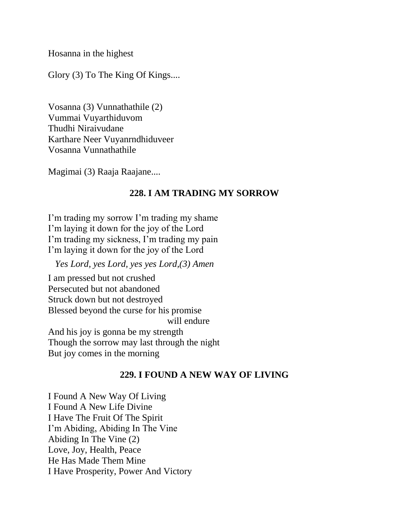Hosanna in the highest

Glory (3) To The King Of Kings....

Vosanna (3) Vunnathathile (2) Vummai Vuyarthiduvom Thudhi Niraivudane Karthare Neer Vuyanrndhiduveer Vosanna Vunnathathile

Magimai (3) Raaja Raajane....

# **228. I AM TRADING MY SORROW**

I'm trading my sorrow I'm trading my shame I'm laying it down for the joy of the Lord I'm trading my sickness, I'm trading my pain I'm laying it down for the joy of the Lord

 *Yes Lord, yes Lord, yes yes Lord,(3) Amen*

I am pressed but not crushed Persecuted but not abandoned Struck down but not destroyed Blessed beyond the curse for his promise will endure And his joy is gonna be my strength Though the sorrow may last through the night But joy comes in the morning

# **229. I FOUND A NEW WAY OF LIVING**

I Found A New Way Of Living I Found A New Life Divine I Have The Fruit Of The Spirit I'm Abiding, Abiding In The Vine Abiding In The Vine (2) Love, Joy, Health, Peace He Has Made Them Mine I Have Prosperity, Power And Victory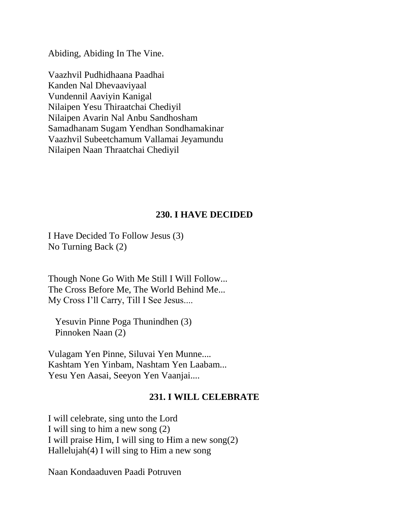Abiding, Abiding In The Vine.

Vaazhvil Pudhidhaana Paadhai Kanden Nal Dhevaaviyaal Vundennil Aaviyin Kanigal Nilaipen Yesu Thiraatchai Chediyil Nilaipen Avarin Nal Anbu Sandhosham Samadhanam Sugam Yendhan Sondhamakinar Vaazhvil Subeetchamum Vallamai Jeyamundu Nilaipen Naan Thraatchai Chediyil

## **230. I HAVE DECIDED**

I Have Decided To Follow Jesus (3) No Turning Back (2)

Though None Go With Me Still I Will Follow... The Cross Before Me, The World Behind Me... My Cross I'll Carry, Till I See Jesus....

 Yesuvin Pinne Poga Thunindhen (3) Pinnoken Naan (2)

Vulagam Yen Pinne, Siluvai Yen Munne.... Kashtam Yen Yinbam, Nashtam Yen Laabam... Yesu Yen Aasai, Seeyon Yen Vaanjai....

## **231. I WILL CELEBRATE**

I will celebrate, sing unto the Lord I will sing to him a new song (2) I will praise Him, I will sing to Him a new song(2) Hallelujah(4) I will sing to Him a new song

Naan Kondaaduven Paadi Potruven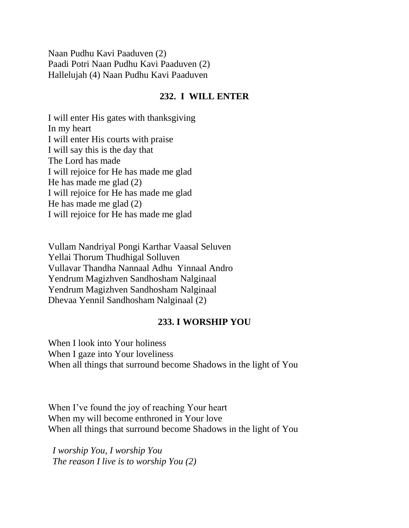Naan Pudhu Kavi Paaduven (2) Paadi Potri Naan Pudhu Kavi Paaduven (2) Hallelujah (4) Naan Pudhu Kavi Paaduven

# **232. I WILL ENTER**

I will enter His gates with thanksgiving In my heart I will enter His courts with praise I will say this is the day that The Lord has made I will rejoice for He has made me glad He has made me glad (2) I will rejoice for He has made me glad He has made me glad (2) I will rejoice for He has made me glad

Vullam Nandriyal Pongi Karthar Vaasal Seluven Yellai Thorum Thudhigal Solluven Vullavar Thandha Nannaal Adhu Yinnaal Andro Yendrum Magizhven Sandhosham Nalginaal Yendrum Magizhven Sandhosham Nalginaal Dhevaa Yennil Sandhosham Nalginaal (2)

## **233. I WORSHIP YOU**

When I look into Your holiness When I gaze into Your loveliness When all things that surround become Shadows in the light of You

When I've found the joy of reaching Your heart When my will become enthroned in Your love When all things that surround become Shadows in the light of You

*I worship You, I worship You The reason I live is to worship You (2)*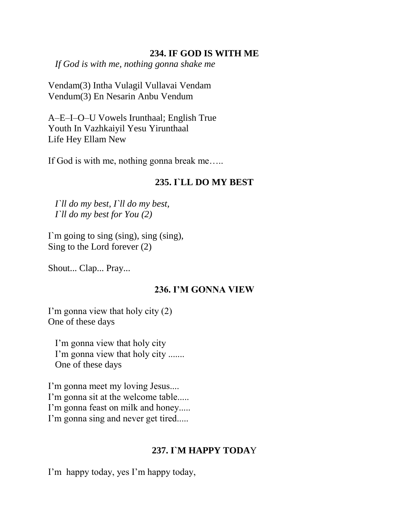## **234. IF GOD IS WITH ME**

*If God is with me, nothing gonna shake me*

Vendam(3) Intha Vulagil Vullavai Vendam Vendum(3) En Nesarin Anbu Vendum

A–E–I–O–U Vowels Irunthaal; English True Youth In Vazhkaiyil Yesu Yirunthaal Life Hey Ellam New

If God is with me, nothing gonna break me…..

# **235. I`LL DO MY BEST**

 *I`ll do my best, I`ll do my best, I`ll do my best for You (2)* 

 $\Gamma$ m going to sing (sing), sing (sing), Sing to the Lord forever (2)

Shout... Clap... Pray...

## **236. I'M GONNA VIEW**

I'm gonna view that holy city (2) One of these days

 I'm gonna view that holy city I'm gonna view that holy city ....... One of these days

I'm gonna meet my loving Jesus.... I'm gonna sit at the welcome table..... I'm gonna feast on milk and honey..... I'm gonna sing and never get tired.....

# **237. I`M HAPPY TODA**Y

I'm happy today, yes I'm happy today,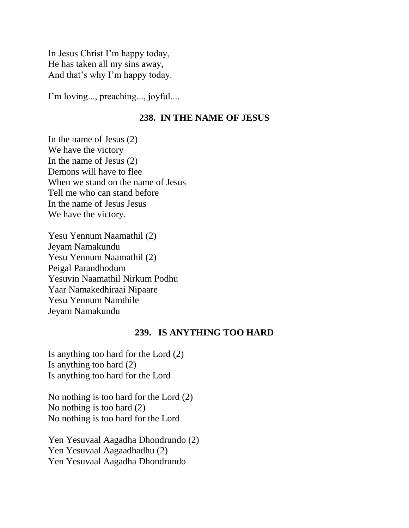In Jesus Christ I'm happy today, He has taken all my sins away, And that's why I'm happy today.

I'm loving..., preaching..., joyful....

# **238. IN THE NAME OF JESUS**

In the name of Jesus (2) We have the victory In the name of Jesus (2) Demons will have to flee When we stand on the name of Jesus Tell me who can stand before In the name of Jesus Jesus We have the victory.

Yesu Yennum Naamathil (2) Jeyam Namakundu Yesu Yennum Naamathil (2) Peigal Parandhodum Yesuvin Naamathil Nirkum Podhu Yaar Namakedhiraai Nipaare Yesu Yennum Namthile Jeyam Namakundu

### **239. IS ANYTHING TOO HARD**

Is anything too hard for the Lord (2) Is anything too hard (2) Is anything too hard for the Lord

No nothing is too hard for the Lord (2) No nothing is too hard (2) No nothing is too hard for the Lord

Yen Yesuvaal Aagadha Dhondrundo (2) Yen Yesuvaal Aagaadhadhu (2) Yen Yesuvaal Aagadha Dhondrundo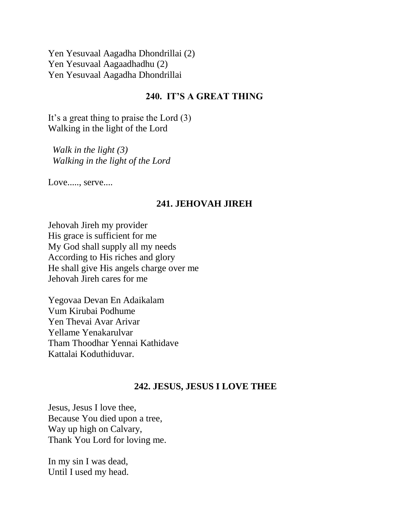Yen Yesuvaal Aagadha Dhondrillai (2) Yen Yesuvaal Aagaadhadhu (2) Yen Yesuvaal Aagadha Dhondrillai

# **240. IT'S A GREAT THING**

It's a great thing to praise the Lord (3) Walking in the light of the Lord

*Walk in the light (3) Walking in the light of the Lord*

Love....., serve....

### **241. JEHOVAH JIREH**

Jehovah Jireh my provider His grace is sufficient for me My God shall supply all my needs According to His riches and glory He shall give His angels charge over me Jehovah Jireh cares for me

Yegovaa Devan En Adaikalam Vum Kirubai Podhume Yen Thevai Avar Arivar Yellame Yenakarulvar Tham Thoodhar Yennai Kathidave Kattalai Koduthiduvar.

# **242. JESUS, JESUS I LOVE THEE**

Jesus, Jesus I love thee, Because You died upon a tree, Way up high on Calvary, Thank You Lord for loving me.

In my sin I was dead, Until I used my head.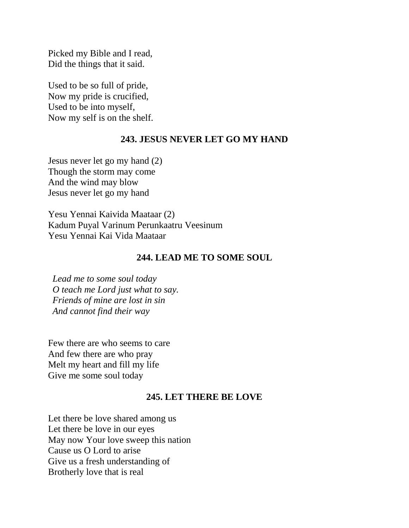Picked my Bible and I read, Did the things that it said.

Used to be so full of pride, Now my pride is crucified, Used to be into myself, Now my self is on the shelf.

## **243. JESUS NEVER LET GO MY HAND**

Jesus never let go my hand (2) Though the storm may come And the wind may blow Jesus never let go my hand

Yesu Yennai Kaivida Maataar (2) Kadum Puyal Varinum Perunkaatru Veesinum Yesu Yennai Kai Vida Maataar

## **244. LEAD ME TO SOME SOUL**

*Lead me to some soul today O teach me Lord just what to say. Friends of mine are lost in sin And cannot find their way*

Few there are who seems to care And few there are who pray Melt my heart and fill my life Give me some soul today

# **245. LET THERE BE LOVE**

Let there be love shared among us Let there be love in our eyes May now Your love sweep this nation Cause us O Lord to arise Give us a fresh understanding of Brotherly love that is real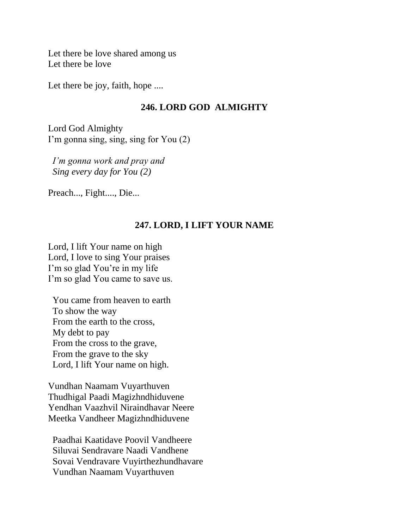Let there be love shared among us Let there be love

Let there be joy, faith, hope ....

# **246. LORD GOD ALMIGHTY**

Lord God Almighty I'm gonna sing, sing, sing for You (2)

*I'm gonna work and pray and Sing every day for You (2)*

Preach..., Fight...., Die...

## **247. LORD, I LIFT YOUR NAME**

Lord, I lift Your name on high Lord, I love to sing Your praises I'm so glad You're in my life I'm so glad You came to save us.

You came from heaven to earth To show the way From the earth to the cross, My debt to pay From the cross to the grave, From the grave to the sky Lord, I lift Your name on high.

Vundhan Naamam Vuyarthuven Thudhigal Paadi Magizhndhiduvene Yendhan Vaazhvil Niraindhavar Neere Meetka Vandheer Magizhndhiduvene

Paadhai Kaatidave Poovil Vandheere Siluvai Sendravare Naadi Vandhene Sovai Vendravare Vuyirthezhundhavare Vundhan Naamam Vuyarthuven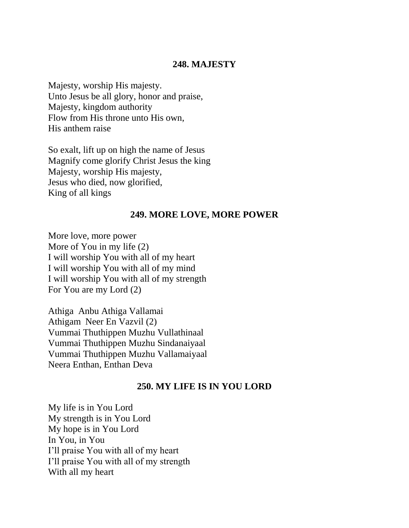## **248. MAJESTY**

Majesty, worship His majesty. Unto Jesus be all glory, honor and praise, Majesty, kingdom authority Flow from His throne unto His own, His anthem raise

So exalt, lift up on high the name of Jesus Magnify come glorify Christ Jesus the king Majesty, worship His majesty, Jesus who died, now glorified, King of all kings

### **249. MORE LOVE, MORE POWER**

More love, more power More of You in my life (2) I will worship You with all of my heart I will worship You with all of my mind I will worship You with all of my strength For You are my Lord (2)

Athiga Anbu Athiga Vallamai Athigam Neer En Vazvil (2) Vummai Thuthippen Muzhu Vullathinaal Vummai Thuthippen Muzhu Sindanaiyaal Vummai Thuthippen Muzhu Vallamaiyaal Neera Enthan, Enthan Deva

### **250. MY LIFE IS IN YOU LORD**

My life is in You Lord My strength is in You Lord My hope is in You Lord In You, in You I'll praise You with all of my heart I'll praise You with all of my strength With all my heart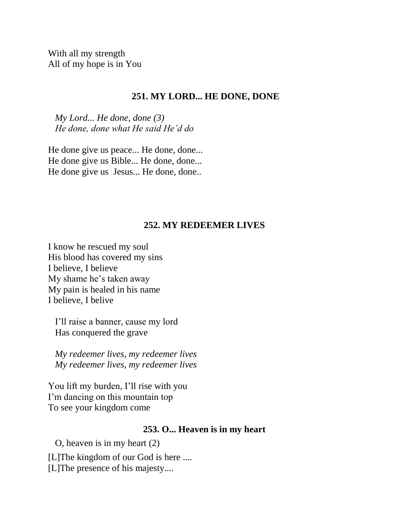With all my strength All of my hope is in You

## **251. MY LORD... HE DONE, DONE**

 *My Lord... He done, done (3) He done, done what He said He'd do*

He done give us peace... He done, done... He done give us Bible... He done, done... He done give us Jesus... He done, done..

## **252. MY REDEEMER LIVES**

I know he rescued my soul His blood has covered my sins I believe, I believe My shame he's taken away My pain is healed in his name I believe, I belive

 I'll raise a banner, cause my lord Has conquered the grave

 *My redeemer lives, my redeemer lives My redeemer lives, my redeemer lives*

You lift my burden, I'll rise with you I'm dancing on this mountain top To see your kingdom come

### **253. O... Heaven is in my heart**

 O, heaven is in my heart (2) [L]The kingdom of our God is here .... [L]The presence of his majesty....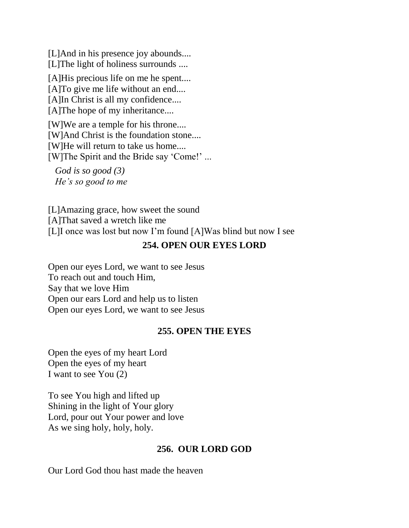[L]And in his presence joy abounds.... [L]The light of holiness surrounds ....

[A]His precious life on me he spent.... [A]To give me life without an end.... [A]In Christ is all my confidence.... [A]The hope of my inheritance....

[W]We are a temple for his throne.... [W]And Christ is the foundation stone.... [W]He will return to take us home.... [W]The Spirit and the Bride say 'Come!' ...

 *God is so good (3) He's so good to me* 

[L]Amazing grace, how sweet the sound [A]That saved a wretch like me [L]I once was lost but now I'm found [A]Was blind but now I see

# **254. OPEN OUR EYES LORD**

Open our eyes Lord, we want to see Jesus To reach out and touch Him, Say that we love Him Open our ears Lord and help us to listen Open our eyes Lord, we want to see Jesus

# **255. OPEN THE EYES**

Open the eyes of my heart Lord Open the eyes of my heart I want to see You (2)

To see You high and lifted up Shining in the light of Your glory Lord, pour out Your power and love As we sing holy, holy, holy.

# **256. OUR LORD GOD**

Our Lord God thou hast made the heaven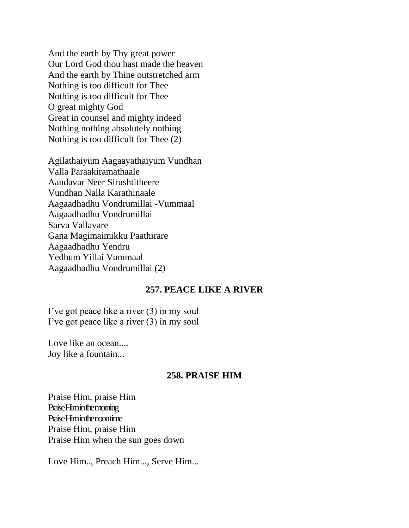And the earth by Thy great power Our Lord God thou hast made the heaven And the earth by Thine outstretched arm Nothing is too difficult for Thee Nothing is too difficult for Thee O great mighty God Great in counsel and mighty indeed Nothing nothing absolutely nothing Nothing is too difficult for Thee (2)

Agilathaiyum Aagaayathaiyum Vundhan Valla Paraakiramathaale Aandavar Neer Sirushtitheere Vundhan Nalla Karathinaale Aagaadhadhu Vondrumillai -Vummaal Aagaadhadhu Vondrumillai Sarva Vallavare Gana Magimaimikku Paathirare Aagaadhadhu Yendru Yedhum Yillai Vummaal Aagaadhadhu Vondrumillai (2)

## **257. PEACE LIKE A RIVER**

I've got peace like a river (3) in my soul I've got peace like a river (3) in my soul

Love like an ocean.... Joy like a fountain...

### **258. PRAISE HIM**

Praise Him, praise Him Praise Him in the morning Praise Him in the noon time Praise Him, praise Him Praise Him when the sun goes down

Love Him.., Preach Him..., Serve Him...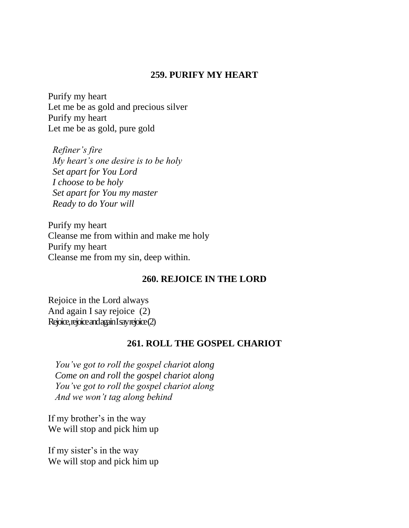# **259. PURIFY MY HEART**

Purify my heart Let me be as gold and precious silver Purify my heart Let me be as gold, pure gold

*Refiner's fire My heart's one desire is to be holy Set apart for You Lord I choose to be holy Set apart for You my master Ready to do Your will*

Purify my heart Cleanse me from within and make me holy Purify my heart Cleanse me from my sin, deep within.

## **260. REJOICE IN THE LORD**

Rejoice in the Lord always And again I say rejoice (2) Rejoice, rejoice and again I say rejoice (2)

### **261. ROLL THE GOSPEL CHARIOT**

 *You've got to roll the gospel chariot along Come on and roll the gospel chariot along You've got to roll the gospel chariot along And we won't tag along behind*

If my brother's in the way We will stop and pick him up

If my sister's in the way We will stop and pick him up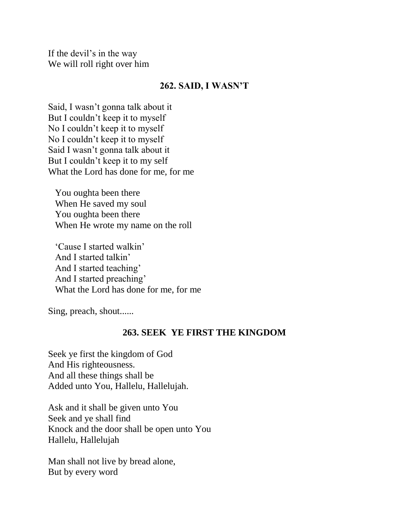If the devil's in the way We will roll right over him

# **262. SAID, I WASN'T**

Said, I wasn't gonna talk about it But I couldn't keep it to myself No I couldn't keep it to myself No I couldn't keep it to myself Said I wasn't gonna talk about it But I couldn't keep it to my self What the Lord has done for me, for me

 You oughta been there When He saved my soul You oughta been there When He wrote my name on the roll

 'Cause I started walkin' And I started talkin' And I started teaching' And I started preaching' What the Lord has done for me, for me

Sing, preach, shout......

# **263. SEEK YE FIRST THE KINGDOM**

Seek ye first the kingdom of God And His righteousness. And all these things shall be Added unto You, Hallelu, Hallelujah.

Ask and it shall be given unto You Seek and ye shall find Knock and the door shall be open unto You Hallelu, Hallelujah

Man shall not live by bread alone, But by every word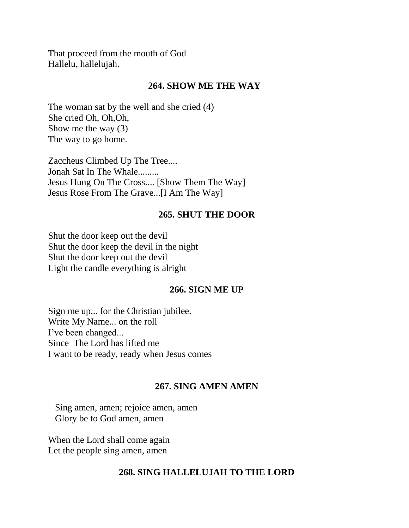That proceed from the mouth of God Hallelu, hallelujah.

## **264. SHOW ME THE WAY**

The woman sat by the well and she cried (4) She cried Oh, Oh,Oh, Show me the way (3) The way to go home.

Zaccheus Climbed Up The Tree.... Jonah Sat In The Whale......... Jesus Hung On The Cross.... [Show Them The Way] Jesus Rose From The Grave...[I Am The Way]

#### **265. SHUT THE DOOR**

Shut the door keep out the devil Shut the door keep the devil in the night Shut the door keep out the devil Light the candle everything is alright

### **266. SIGN ME UP**

Sign me up... for the Christian jubilee. Write My Name... on the roll I've been changed... Since The Lord has lifted me I want to be ready, ready when Jesus comes

### **267. SING AMEN AMEN**

 Sing amen, amen; rejoice amen, amen Glory be to God amen, amen

When the Lord shall come again Let the people sing amen, amen

### **268. SING HALLELUJAH TO THE LORD**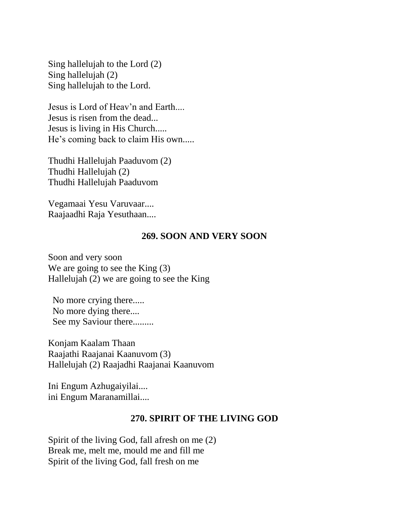Sing hallelujah to the Lord (2) Sing hallelujah (2) Sing hallelujah to the Lord.

Jesus is Lord of Heav'n and Earth.... Jesus is risen from the dead... Jesus is living in His Church..... He's coming back to claim His own.....

Thudhi Hallelujah Paaduvom (2) Thudhi Hallelujah (2) Thudhi Hallelujah Paaduvom

Vegamaai Yesu Varuvaar.... Raajaadhi Raja Yesuthaan....

# **269. SOON AND VERY SOON**

Soon and very soon We are going to see the King  $(3)$ Hallelujah (2) we are going to see the King

No more crying there..... No more dying there.... See my Saviour there.........

Konjam Kaalam Thaan Raajathi Raajanai Kaanuvom (3) Hallelujah (2) Raajadhi Raajanai Kaanuvom

Ini Engum Azhugaiyilai.... ini Engum Maranamillai....

# **270. SPIRIT OF THE LIVING GOD**

Spirit of the living God, fall afresh on me (2) Break me, melt me, mould me and fill me Spirit of the living God, fall fresh on me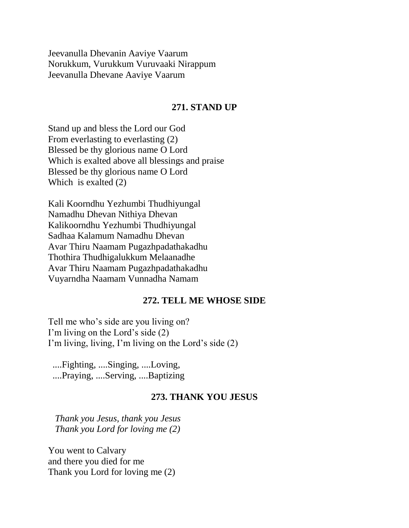Jeevanulla Dhevanin Aaviye Vaarum Norukkum, Vurukkum Vuruvaaki Nirappum Jeevanulla Dhevane Aaviye Vaarum

### **271. STAND UP**

Stand up and bless the Lord our God From everlasting to everlasting (2) Blessed be thy glorious name O Lord Which is exalted above all blessings and praise Blessed be thy glorious name O Lord Which is exalted (2)

Kali Koorndhu Yezhumbi Thudhiyungal Namadhu Dhevan Nithiya Dhevan Kalikoorndhu Yezhumbi Thudhiyungal Sadhaa Kalamum Namadhu Dhevan Avar Thiru Naamam Pugazhpadathakadhu Thothira Thudhigalukkum Melaanadhe Avar Thiru Naamam Pugazhpadathakadhu Vuyarndha Naamam Vunnadha Namam

#### **272. TELL ME WHOSE SIDE**

Tell me who's side are you living on? I'm living on the Lord's side (2) I'm living, living, I'm living on the Lord's side (2)

....Fighting, ....Singing, ....Loving, ....Praying, ....Serving, ....Baptizing

### **273. THANK YOU JESUS**

 *Thank you Jesus, thank you Jesus Thank you Lord for loving me (2)*

You went to Calvary and there you died for me Thank you Lord for loving me (2)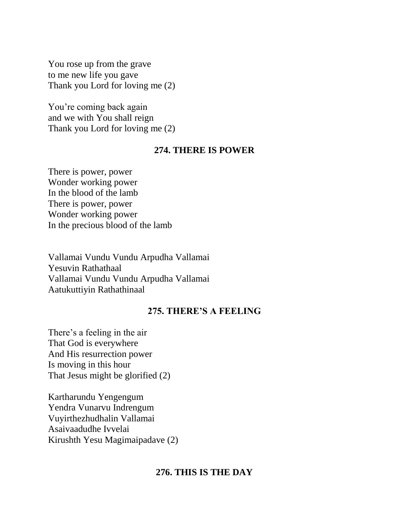You rose up from the grave to me new life you gave Thank you Lord for loving me (2)

You're coming back again and we with You shall reign Thank you Lord for loving me (2)

## **274. THERE IS POWER**

There is power, power Wonder working power In the blood of the lamb There is power, power Wonder working power In the precious blood of the lamb

Vallamai Vundu Vundu Arpudha Vallamai Yesuvin Rathathaal Vallamai Vundu Vundu Arpudha Vallamai Aatukuttiyin Rathathinaal

# **275. THERE'S A FEELING**

There's a feeling in the air That God is everywhere And His resurrection power Is moving in this hour That Jesus might be glorified (2)

Kartharundu Yengengum Yendra Vunarvu Indrengum Vuyirthezhudhalin Vallamai Asaivaadudhe Ivvelai Kirushth Yesu Magimaipadave (2)

# **276. THIS IS THE DAY**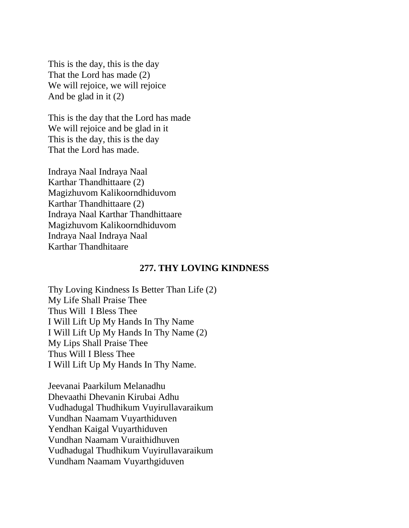This is the day, this is the day That the Lord has made (2) We will rejoice, we will rejoice And be glad in it (2)

This is the day that the Lord has made We will rejoice and be glad in it This is the day, this is the day That the Lord has made.

Indraya Naal Indraya Naal Karthar Thandhittaare (2) Magizhuvom Kalikoorndhiduvom Karthar Thandhittaare (2) Indraya Naal Karthar Thandhittaare Magizhuvom Kalikoorndhiduvom Indraya Naal Indraya Naal Karthar Thandhitaare

### **277. THY LOVING KINDNESS**

Thy Loving Kindness Is Better Than Life (2) My Life Shall Praise Thee Thus Will I Bless Thee I Will Lift Up My Hands In Thy Name I Will Lift Up My Hands In Thy Name (2) My Lips Shall Praise Thee Thus Will I Bless Thee I Will Lift Up My Hands In Thy Name.

Jeevanai Paarkilum Melanadhu Dhevaathi Dhevanin Kirubai Adhu Vudhadugal Thudhikum Vuyirullavaraikum Vundhan Naamam Vuyarthiduven Yendhan Kaigal Vuyarthiduven Vundhan Naamam Vuraithidhuven Vudhadugal Thudhikum Vuyirullavaraikum Vundham Naamam Vuyarthgiduven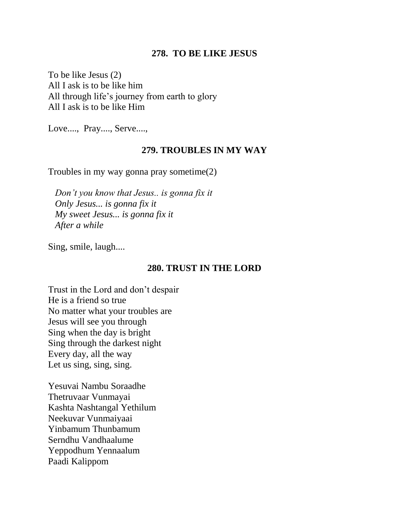### **278. TO BE LIKE JESUS**

To be like Jesus (2) All I ask is to be like him All through life's journey from earth to glory All I ask is to be like Him

Love...., Pray...., Serve....,

### **279. TROUBLES IN MY WAY**

Troubles in my way gonna pray sometime(2)

 *Don't you know that Jesus.. is gonna fix it Only Jesus... is gonna fix it My sweet Jesus... is gonna fix it After a while*

Sing, smile, laugh....

### **280. TRUST IN THE LORD**

Trust in the Lord and don't despair He is a friend so true No matter what your troubles are Jesus will see you through Sing when the day is bright Sing through the darkest night Every day, all the way Let us sing, sing, sing.

Yesuvai Nambu Soraadhe Thetruvaar Vunmayai Kashta Nashtangal Yethilum Neekuvar Vunmaiyaai Yinbamum Thunbamum Serndhu Vandhaalume Yeppodhum Yennaalum Paadi Kalippom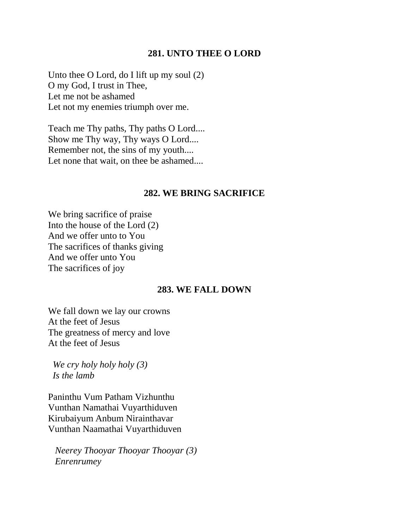## **281. UNTO THEE O LORD**

Unto thee O Lord, do I lift up my soul (2) O my God, I trust in Thee, Let me not be ashamed Let not my enemies triumph over me.

Teach me Thy paths, Thy paths O Lord.... Show me Thy way, Thy ways O Lord.... Remember not, the sins of my youth.... Let none that wait, on thee be ashamed....

### **282. WE BRING SACRIFICE**

We bring sacrifice of praise Into the house of the Lord (2) And we offer unto to You The sacrifices of thanks giving And we offer unto You The sacrifices of joy

### **283. WE FALL DOWN**

We fall down we lay our crowns At the feet of Jesus The greatness of mercy and love At the feet of Jesus

 *We cry holy holy holy (3) Is the lamb*

Paninthu Vum Patham Vizhunthu Vunthan Namathai Vuyarthiduven Kirubaiyum Anbum Nirainthavar Vunthan Naamathai Vuyarthiduven

 *Neerey Thooyar Thooyar Thooyar (3) Enrenrumey*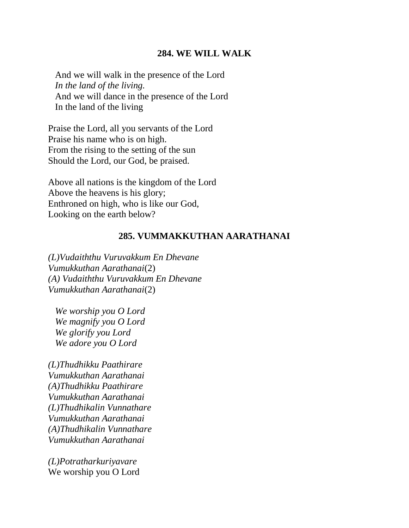### **284. WE WILL WALK**

 And we will walk in the presence of the Lord *In the land of the living.*  And we will dance in the presence of the Lord In the land of the living

Praise the Lord, all you servants of the Lord Praise his name who is on high. From the rising to the setting of the sun Should the Lord, our God, be praised.

Above all nations is the kingdom of the Lord Above the heavens is his glory; Enthroned on high, who is like our God, Looking on the earth below?

## **285. VUMMAKKUTHAN AARATHANAI**

*(L)Vudaiththu Vuruvakkum En Dhevane Vumukkuthan Aarathanai*(2) *(A) Vudaiththu Vuruvakkum En Dhevane Vumukkuthan Aarathanai*(2)

 *We worship you O Lord We magnify you O Lord We glorify you Lord We adore you O Lord*

*(L)Thudhikku Paathirare Vumukkuthan Aarathanai (A)Thudhikku Paathirare Vumukkuthan Aarathanai (L)Thudhikalin Vunnathare Vumukkuthan Aarathanai (A)Thudhikalin Vunnathare Vumukkuthan Aarathanai*

*(L)Potratharkuriyavare*  We worship you O Lord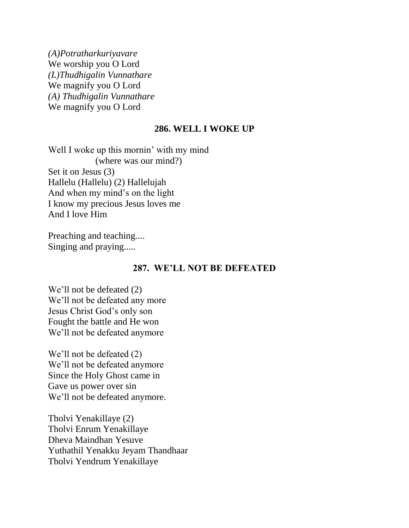*(A)Potratharkuriyavare* We worship you O Lord *(L)Thudhigalin Vunnathare* We magnify you O Lord *(A) Thudhigalin Vunnathare* We magnify you O Lord

#### **286. WELL I WOKE UP**

Well I woke up this mornin' with my mind (where was our mind?) Set it on Jesus (3) Hallelu (Hallelu) (2) Hallelujah And when my mind's on the light I know my precious Jesus loves me And I love Him

Preaching and teaching.... Singing and praying.....

### **287. WE'LL NOT BE DEFEATED**

We'll not be defeated (2) We'll not be defeated any more Jesus Christ God's only son Fought the battle and He won We'll not be defeated anymore

We'll not be defeated (2) We'll not be defeated anymore Since the Holy Ghost came in Gave us power over sin We'll not be defeated anymore.

Tholvi Yenakillaye (2) Tholvi Enrum Yenakillaye Dheva Maindhan Yesuve Yuthathil Yenakku Jeyam Thandhaar Tholvi Yendrum Yenakillaye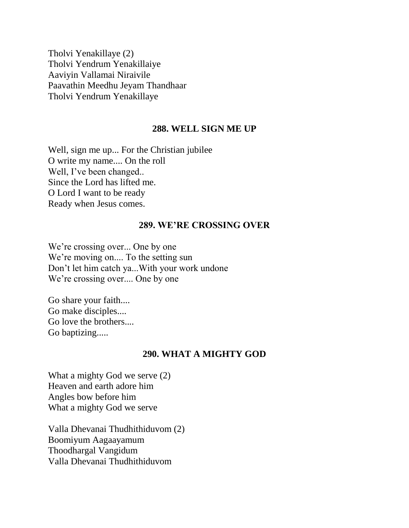Tholvi Yenakillaye (2) Tholvi Yendrum Yenakillaiye Aaviyin Vallamai Niraivile Paavathin Meedhu Jeyam Thandhaar Tholvi Yendrum Yenakillaye

### **288. WELL SIGN ME UP**

Well, sign me up... For the Christian jubilee O write my name.... On the roll Well, I've been changed... Since the Lord has lifted me. O Lord I want to be ready Ready when Jesus comes.

### **289. WE'RE CROSSING OVER**

We're crossing over... One by one We're moving on.... To the setting sun Don't let him catch ya...With your work undone We're crossing over.... One by one

Go share your faith.... Go make disciples.... Go love the brothers.... Go baptizing.....

### **290. WHAT A MIGHTY GOD**

What a mighty God we serve (2) Heaven and earth adore him Angles bow before him What a mighty God we serve

Valla Dhevanai Thudhithiduvom (2) Boomiyum Aagaayamum Thoodhargal Vangidum Valla Dhevanai Thudhithiduvom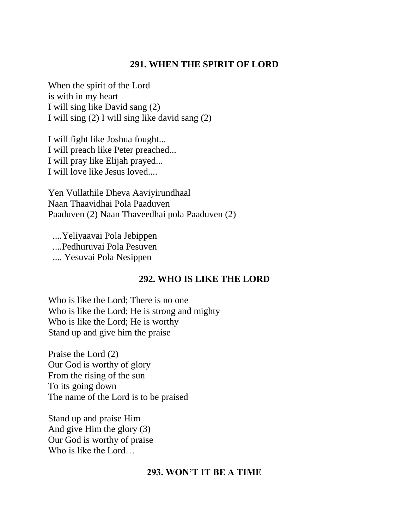## **291. WHEN THE SPIRIT OF LORD**

When the spirit of the Lord is with in my heart I will sing like David sang (2) I will sing (2) I will sing like david sang (2)

I will fight like Joshua fought... I will preach like Peter preached... I will pray like Elijah prayed... I will love like Jesus loved....

Yen Vullathile Dheva Aaviyirundhaal Naan Thaavidhai Pola Paaduven Paaduven (2) Naan Thaveedhai pola Paaduven (2)

....Yeliyaavai Pola Jebippen ....Pedhuruvai Pola Pesuven .... Yesuvai Pola Nesippen

# **292. WHO IS LIKE THE LORD**

Who is like the Lord; There is no one Who is like the Lord; He is strong and mighty Who is like the Lord; He is worthy Stand up and give him the praise

Praise the Lord (2) Our God is worthy of glory From the rising of the sun To its going down The name of the Lord is to be praised

Stand up and praise Him And give Him the glory (3) Our God is worthy of praise Who is like the Lord

## **293. WON'T IT BE A TIME**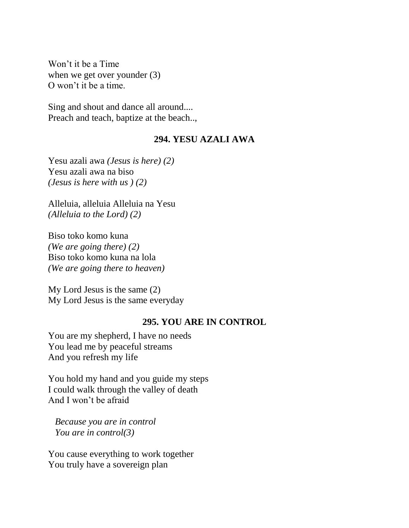Won't it be a Time when we get over younder (3) O won't it be a time.

Sing and shout and dance all around.... Preach and teach, baptize at the beach..,

# **294. YESU AZALI AWA**

Yesu azali awa *(Jesus is here) (2)* Yesu azali awa na biso *(Jesus is here with us ) (2)*

Alleluia, alleluia Alleluia na Yesu *(Alleluia to the Lord) (2)*

Biso toko komo kuna *(We are going there) (2)* Biso toko komo kuna na lola *(We are going there to heaven)*

My Lord Jesus is the same (2) My Lord Jesus is the same everyday

# **295. YOU ARE IN CONTROL**

You are my shepherd, I have no needs You lead me by peaceful streams And you refresh my life

You hold my hand and you guide my steps I could walk through the valley of death And I won't be afraid

 *Because you are in control You are in control(3)*

You cause everything to work together You truly have a sovereign plan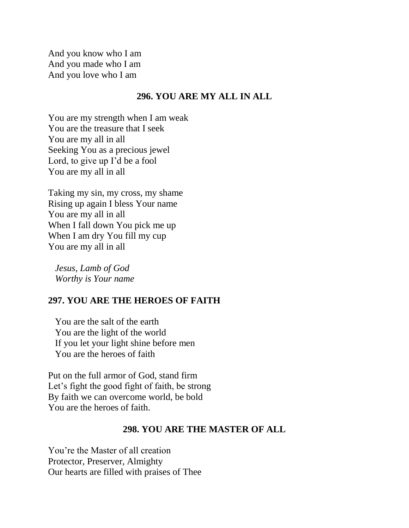And you know who I am And you made who I am And you love who I am

## **296. YOU ARE MY ALL IN ALL**

You are my strength when I am weak You are the treasure that I seek You are my all in all Seeking You as a precious jewel Lord, to give up I'd be a fool You are my all in all

Taking my sin, my cross, my shame Rising up again I bless Your name You are my all in all When I fall down You pick me up When I am dry You fill my cup You are my all in all

 *Jesus, Lamb of God Worthy is Your name*

# **297. YOU ARE THE HEROES OF FAITH**

 You are the salt of the earth You are the light of the world If you let your light shine before men You are the heroes of faith

Put on the full armor of God, stand firm Let's fight the good fight of faith, be strong By faith we can overcome world, be bold You are the heroes of faith.

## **298. YOU ARE THE MASTER OF ALL**

You're the Master of all creation Protector, Preserver, Almighty Our hearts are filled with praises of Thee